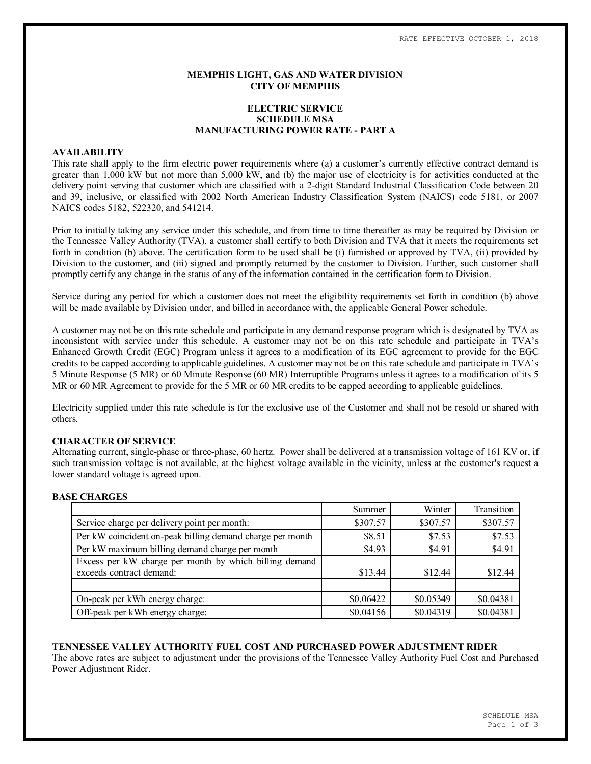## **MEMPHIS LIGHT, GAS AND WATER DIVISION CITY OF MEMPHIS**

# **ELECTRIC SERVICE SCHEDULE MSA MANUFACTURING POWER RATE - PART A**

### **AVAILABILITY**

This rate shall apply to the firm electric power requirements where (a) a customer's currently effective contract demand is greater than 1,000 kW but not more than 5,000 kW, and (b) the major use of electricity is for activities conducted at the delivery point serving that customer which are classified with a 2-digit Standard Industrial Classification Code between 20 and 39, inclusive, or classified with 2002 North American Industry Classification System (NAICS) code 5181, or 2007 NAICS codes 5182, 522320, and 541214.

Prior to initially taking any service under this schedule, and from time to time thereafter as may be required by Division or the Tennessee Valley Authority (TVA), a customer shall certify to both Division and TVA that it meets the requirements set forth in condition (b) above. The certification form to be used shall be (i) furnished or approved by TVA, (ii) provided by Division to the customer, and (iii) signed and promptly returned by the customer to Division. Further, such customer shall promptly certify any change in the status of any of the information contained in the certification form to Division.

Service during any period for which a customer does not meet the eligibility requirements set forth in condition (b) above will be made available by Division under, and billed in accordance with, the applicable General Power schedule.

A customer may not be on this rate schedule and participate in any demand response program which is designated by TVA as inconsistent with service under this schedule. A customer may not be on this rate schedule and participate in TVA's Enhanced Growth Credit (EGC) Program unless it agrees to a modification of its EGC agreement to provide for the EGC credits to be capped according to applicable guidelines. A customer may not be on this rate schedule and participate in TVA's 5 Minute Response (5 MR) or 60 Minute Response (60 MR) Interruptible Programs unless it agrees to a modification of its 5 MR or 60 MR Agreement to provide for the 5 MR or 60 MR credits to be capped according to applicable guidelines.

Electricity supplied under this rate schedule is for the exclusive use of the Customer and shall not be resold or shared with others.

## **CHARACTER OF SERVICE**

Alternating current, single-phase or three-phase, 60 hertz. Power shall be delivered at a transmission voltage of 161 KV or, if such transmission voltage is not available, at the highest voltage available in the vicinity, unless at the customer's request a lower standard voltage is agreed upon.

### **BASE CHARGES**

|                                                           | Summer    | Winter    | Transition |
|-----------------------------------------------------------|-----------|-----------|------------|
| Service charge per delivery point per month:              | \$307.57  | \$307.57  | \$307.57   |
| Per kW coincident on-peak billing demand charge per month | \$8.51    | \$7.53    | \$7.53     |
| Per kW maximum billing demand charge per month            | \$4.93    | \$4.91    | \$4.91     |
| Excess per kW charge per month by which billing demand    |           |           |            |
| exceeds contract demand:                                  | \$13.44   | \$12.44   | \$12.44    |
|                                                           |           |           |            |
| On-peak per kWh energy charge:                            | \$0.06422 | \$0.05349 | \$0.04381  |
| Off-peak per kWh energy charge:                           | \$0.04156 | \$0.04319 | \$0.04381  |

### **TENNESSEE VALLEY AUTHORITY FUEL COST AND PURCHASED POWER ADJUSTMENT RIDER**

The above rates are subject to adjustment under the provisions of the Tennessee Valley Authority Fuel Cost and Purchased Power Adjustment Rider.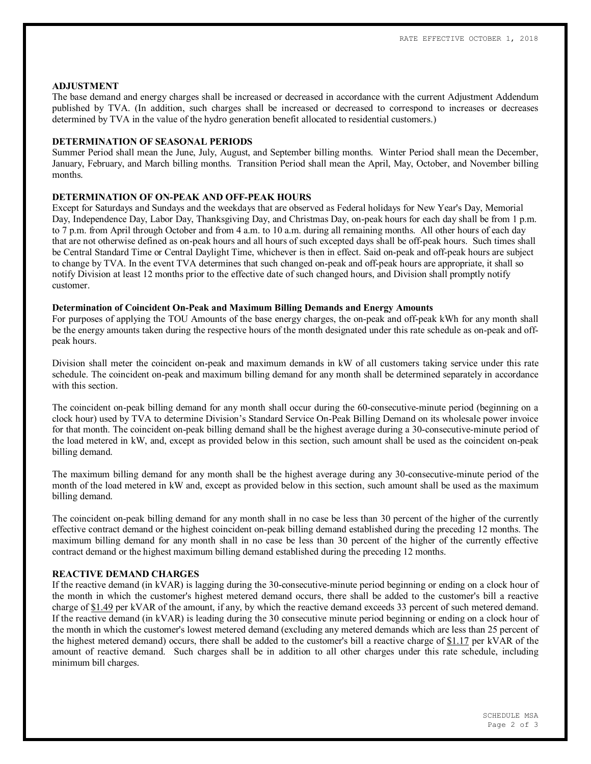#### **ADJUSTMENT**

The base demand and energy charges shall be increased or decreased in accordance with the current Adjustment Addendum published by TVA. (In addition, such charges shall be increased or decreased to correspond to increases or decreases determined by TVA in the value of the hydro generation benefit allocated to residential customers.)

## **DETERMINATION OF SEASONAL PERIODS**

Summer Period shall mean the June, July, August, and September billing months. Winter Period shall mean the December, January, February, and March billing months. Transition Period shall mean the April, May, October, and November billing months.

# **DETERMINATION OF ON-PEAK AND OFF-PEAK HOURS**

Except for Saturdays and Sundays and the weekdays that are observed as Federal holidays for New Year's Day, Memorial Day, Independence Day, Labor Day, Thanksgiving Day, and Christmas Day, on-peak hours for each day shall be from 1 p.m. to 7 p.m. from April through October and from 4 a.m. to 10 a.m. during all remaining months. All other hours of each day that are not otherwise defined as on-peak hours and all hours of such excepted days shall be off-peak hours. Such times shall be Central Standard Time or Central Daylight Time, whichever is then in effect. Said on-peak and off-peak hours are subject to change by TVA. In the event TVA determines that such changed on-peak and off-peak hours are appropriate, it shall so notify Division at least 12 months prior to the effective date of such changed hours, and Division shall promptly notify customer.

### **Determination of Coincident On-Peak and Maximum Billing Demands and Energy Amounts**

For purposes of applying the TOU Amounts of the base energy charges, the on-peak and off-peak kWh for any month shall be the energy amounts taken during the respective hours of the month designated under this rate schedule as on-peak and offpeak hours.

Division shall meter the coincident on-peak and maximum demands in kW of all customers taking service under this rate schedule. The coincident on-peak and maximum billing demand for any month shall be determined separately in accordance with this section

The coincident on-peak billing demand for any month shall occur during the 60-consecutive-minute period (beginning on a clock hour) used by TVA to determine Division's Standard Service On-Peak Billing Demand on its wholesale power invoice for that month. The coincident on-peak billing demand shall be the highest average during a 30-consecutive-minute period of the load metered in kW, and, except as provided below in this section, such amount shall be used as the coincident on-peak billing demand.

The maximum billing demand for any month shall be the highest average during any 30-consecutive-minute period of the month of the load metered in kW and, except as provided below in this section, such amount shall be used as the maximum billing demand.

The coincident on-peak billing demand for any month shall in no case be less than 30 percent of the higher of the currently effective contract demand or the highest coincident on-peak billing demand established during the preceding 12 months. The maximum billing demand for any month shall in no case be less than 30 percent of the higher of the currently effective contract demand or the highest maximum billing demand established during the preceding 12 months.

## **REACTIVE DEMAND CHARGES**

If the reactive demand (in kVAR) is lagging during the 30-consecutive-minute period beginning or ending on a clock hour of the month in which the customer's highest metered demand occurs, there shall be added to the customer's bill a reactive charge of \$1.49 per kVAR of the amount, if any, by which the reactive demand exceeds 33 percent of such metered demand. If the reactive demand (in kVAR) is leading during the 30 consecutive minute period beginning or ending on a clock hour of the month in which the customer's lowest metered demand (excluding any metered demands which are less than 25 percent of the highest metered demand) occurs, there shall be added to the customer's bill a reactive charge of \$1.17 per kVAR of the amount of reactive demand. Such charges shall be in addition to all other charges under this rate schedule, including minimum bill charges.